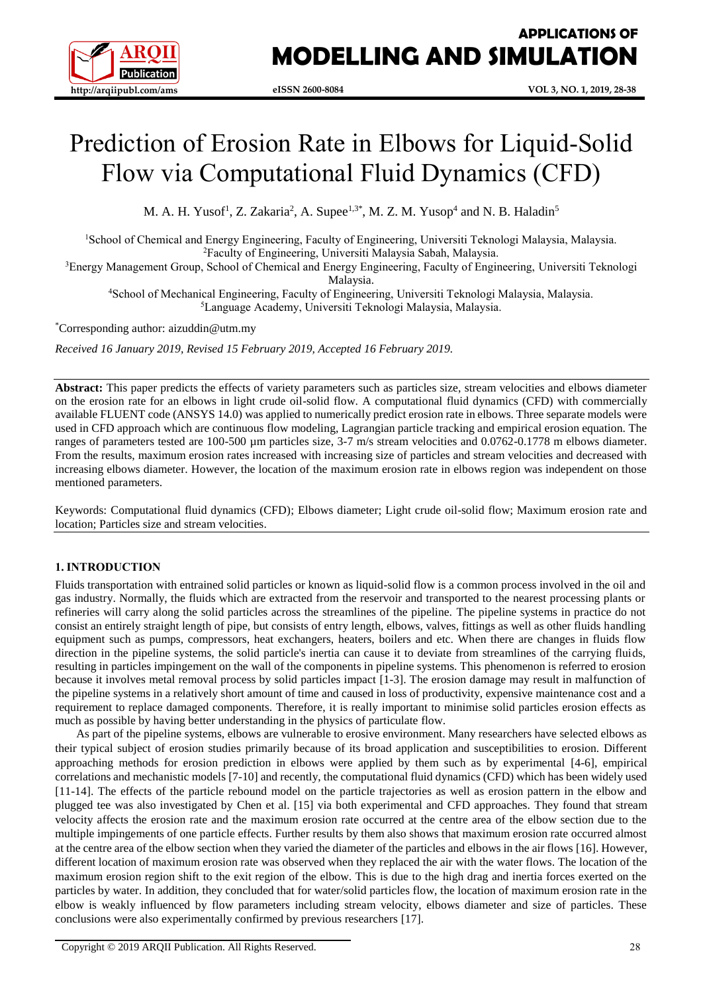

# Prediction of Erosion Rate in Elbows for Liquid-Solid Flow via Computational Fluid Dynamics (CFD)

M. A. H. Yusof<sup>1</sup>, Z. Zakaria<sup>2</sup>, A. Supee<sup>1,3\*</sup>, M. Z. M. Yusop<sup>4</sup> and N. B. Haladin<sup>5</sup>

<sup>1</sup>School of Chemical and Energy Engineering, Faculty of Engineering, Universiti Teknologi Malaysia, Malaysia. <sup>2</sup>Faculty of Engineering, Universiti Malaysia Sabah, Malaysia.

<sup>3</sup>Energy Management Group, School of Chemical and Energy Engineering, Faculty of Engineering, Universiti Teknologi

Malaysia.

<sup>4</sup>School of Mechanical Engineering, Faculty of Engineering, Universiti Teknologi Malaysia, Malaysia. <sup>5</sup>Language Academy, Universiti Teknologi Malaysia, Malaysia.

\*Corresponding author: aizuddin@utm.my

*Received 16 January 2019, Revised 15 February 2019, Accepted 16 February 2019.*

**Abstract:** This paper predicts the effects of variety parameters such as particles size, stream velocities and elbows diameter on the erosion rate for an elbows in light crude oil-solid flow. A computational fluid dynamics (CFD) with commercially available FLUENT code (ANSYS 14.0) was applied to numerically predict erosion rate in elbows. Three separate models were used in CFD approach which are continuous flow modeling, Lagrangian particle tracking and empirical erosion equation. The ranges of parameters tested are 100-500 µm particles size, 3-7 m/s stream velocities and 0.0762-0.1778 m elbows diameter. From the results, maximum erosion rates increased with increasing size of particles and stream velocities and decreased with increasing elbows diameter. However, the location of the maximum erosion rate in elbows region was independent on those mentioned parameters.

Keywords: Computational fluid dynamics (CFD); Elbows diameter; Light crude oil-solid flow; Maximum erosion rate and location; Particles size and stream velocities.

# **1. INTRODUCTION**

Fluids transportation with entrained solid particles or known as liquid-solid flow is a common process involved in the oil and gas industry. Normally, the fluids which are extracted from the reservoir and transported to the nearest processing plants or refineries will carry along the solid particles across the streamlines of the pipeline. The pipeline systems in practice do not consist an entirely straight length of pipe, but consists of entry length, elbows, valves, fittings as well as other fluids handling equipment such as pumps, compressors, heat exchangers, heaters, boilers and etc. When there are changes in fluids flow direction in the pipeline systems, the solid particle's inertia can cause it to deviate from streamlines of the carrying fluids, resulting in particles impingement on the wall of the components in pipeline systems. This phenomenon is referred to erosion because it involves metal removal process by solid particles impact [1-3]. The erosion damage may result in malfunction of the pipeline systems in a relatively short amount of time and caused in loss of productivity, expensive maintenance cost and a requirement to replace damaged components. Therefore, it is really important to minimise solid particles erosion effects as much as possible by having better understanding in the physics of particulate flow.

As part of the pipeline systems, elbows are vulnerable to erosive environment. Many researchers have selected elbows as their typical subject of erosion studies primarily because of its broad application and susceptibilities to erosion. Different approaching methods for erosion prediction in elbows were applied by them such as by experimental [4-6], empirical correlations and mechanistic models [7-10] and recently, the computational fluid dynamics (CFD) which has been widely used [11-14]. The effects of the particle rebound model on the particle trajectories as well as erosion pattern in the elbow and plugged tee was also investigated by Chen et al. [15] via both experimental and CFD approaches. They found that stream velocity affects the erosion rate and the maximum erosion rate occurred at the centre area of the elbow section due to the multiple impingements of one particle effects. Further results by them also shows that maximum erosion rate occurred almost at the centre area of the elbow section when they varied the diameter of the particles and elbows in the air flows [16]. However, different location of maximum erosion rate was observed when they replaced the air with the water flows. The location of the maximum erosion region shift to the exit region of the elbow. This is due to the high drag and inertia forces exerted on the particles by water. In addition, they concluded that for water/solid particles flow, the location of maximum erosion rate in the elbow is weakly influenced by flow parameters including stream velocity, elbows diameter and size of particles. These conclusions were also experimentally confirmed by previous researchers [17].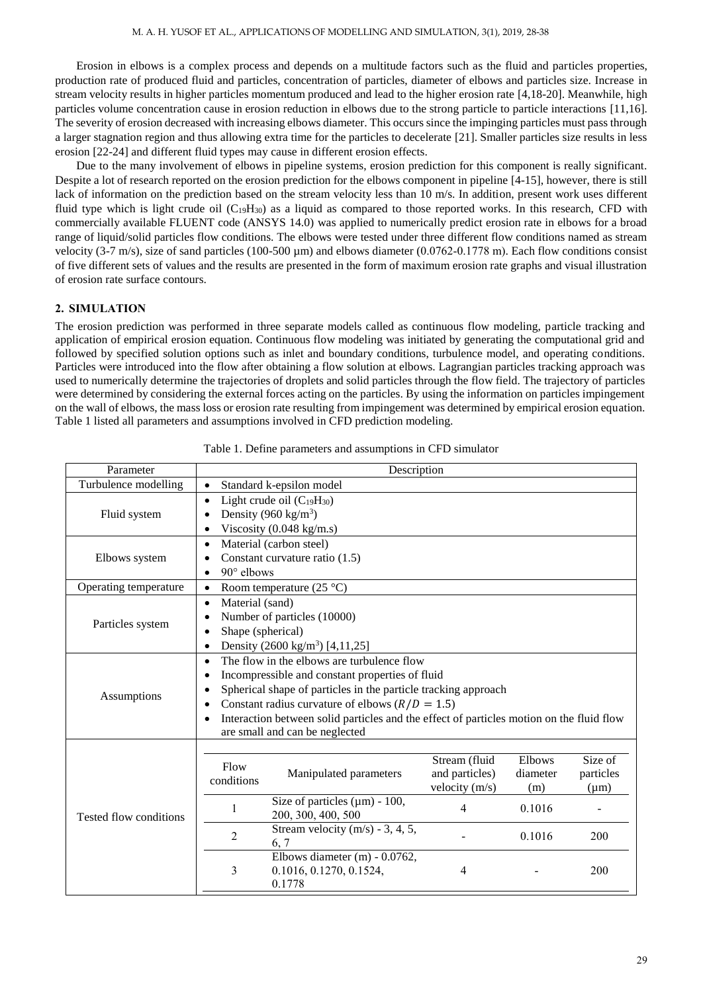Erosion in elbows is a complex process and depends on a multitude factors such as the fluid and particles properties, production rate of produced fluid and particles, concentration of particles, diameter of elbows and particles size. Increase in stream velocity results in higher particles momentum produced and lead to the higher erosion rate [4,18-20]. Meanwhile, high particles volume concentration cause in erosion reduction in elbows due to the strong particle to particle interactions [11,16]. The severity of erosion decreased with increasing elbows diameter. This occurs since the impinging particles must pass through a larger stagnation region and thus allowing extra time for the particles to decelerate [21]. Smaller particles size results in less erosion [22-24] and different fluid types may cause in different erosion effects.

Due to the many involvement of elbows in pipeline systems, erosion prediction for this component is really significant. Despite a lot of research reported on the erosion prediction for the elbows component in pipeline [4-15], however, there is still lack of information on the prediction based on the stream velocity less than 10 m/s. In addition, present work uses different fluid type which is light crude oil  $(C_{19}H_{30})$  as a liquid as compared to those reported works. In this research, CFD with commercially available FLUENT code (ANSYS 14.0) was applied to numerically predict erosion rate in elbows for a broad range of liquid/solid particles flow conditions. The elbows were tested under three different flow conditions named as stream velocity  $(3-7 \text{ m/s})$ , size of sand particles  $(100-500 \text{ \mu m})$  and elbows diameter  $(0.0762-0.1778 \text{ m})$ . Each flow conditions consist of five different sets of values and the results are presented in the form of maximum erosion rate graphs and visual illustration of erosion rate surface contours.

# **2. SIMULATION**

The erosion prediction was performed in three separate models called as continuous flow modeling, particle tracking and application of empirical erosion equation. Continuous flow modeling was initiated by generating the computational grid and followed by specified solution options such as inlet and boundary conditions, turbulence model, and operating conditions. Particles were introduced into the flow after obtaining a flow solution at elbows. Lagrangian particles tracking approach was used to numerically determine the trajectories of droplets and solid particles through the flow field. The trajectory of particles were determined by considering the external forces acting on the particles. By using the information on particles impingement on the wall of elbows, the mass loss or erosion rate resulting from impingement was determined by empirical erosion equation. Table 1 listed all parameters and assumptions involved in CFD prediction modeling.

| Parameter              | Description                                                                                           |                                                                    |                         |          |           |  |
|------------------------|-------------------------------------------------------------------------------------------------------|--------------------------------------------------------------------|-------------------------|----------|-----------|--|
| Turbulence modelling   | Standard k-epsilon model<br>$\bullet$                                                                 |                                                                    |                         |          |           |  |
|                        | Light crude oil $(C_{19}H_{30})$<br>$\bullet$                                                         |                                                                    |                         |          |           |  |
| Fluid system           | Density (960 kg/m <sup>3</sup> )                                                                      |                                                                    |                         |          |           |  |
|                        | $\bullet$                                                                                             | Viscosity (0.048 kg/m.s)                                           |                         |          |           |  |
|                        | $\bullet$                                                                                             | Material (carbon steel)                                            |                         |          |           |  |
| Elbows system          |                                                                                                       | Constant curvature ratio (1.5)                                     |                         |          |           |  |
|                        | $90^\circ$ elbows<br>$\bullet$                                                                        |                                                                    |                         |          |           |  |
| Operating temperature  | $\bullet$                                                                                             | Room temperature $(25 °C)$                                         |                         |          |           |  |
|                        | Material (sand)<br>$\bullet$                                                                          |                                                                    |                         |          |           |  |
| Particles system       | $\bullet$                                                                                             | Number of particles (10000)                                        |                         |          |           |  |
|                        | Shape (spherical)                                                                                     |                                                                    |                         |          |           |  |
|                        | $\bullet$                                                                                             | Density (2600 kg/m <sup>3</sup> ) [4,11,25]                        |                         |          |           |  |
|                        | The flow in the elbows are turbulence flow<br>$\bullet$                                               |                                                                    |                         |          |           |  |
|                        | Incompressible and constant properties of fluid<br>٠                                                  |                                                                    |                         |          |           |  |
| Assumptions            | Spherical shape of particles in the particle tracking approach<br>$\bullet$                           |                                                                    |                         |          |           |  |
|                        | Constant radius curvature of elbows $(R/D = 1.5)$<br>$\bullet$                                        |                                                                    |                         |          |           |  |
|                        | Interaction between solid particles and the effect of particles motion on the fluid flow<br>$\bullet$ |                                                                    |                         |          |           |  |
|                        | are small and can be neglected                                                                        |                                                                    |                         |          |           |  |
|                        |                                                                                                       |                                                                    |                         |          |           |  |
|                        | Flow                                                                                                  |                                                                    | Stream (fluid<br>Elbows | Size of  |           |  |
|                        | conditions                                                                                            | Manipulated parameters                                             | and particles)          | diameter | particles |  |
|                        |                                                                                                       |                                                                    | velocity (m/s)          | (m)      | $(\mu m)$ |  |
| Tested flow conditions | 1                                                                                                     | Size of particles $(\mu m)$ - 100,<br>200, 300, 400, 500           | 4                       | 0.1016   |           |  |
|                        | $\overline{2}$                                                                                        | Stream velocity $(m/s)$ - 3, 4, 5,<br>6, 7                         |                         | 0.1016   | 200       |  |
|                        | 3                                                                                                     | Elbows diameter (m) - 0.0762,<br>0.1016, 0.1270, 0.1524,<br>0.1778 | 4                       |          | 200       |  |

Table 1. Define parameters and assumptions in CFD simulator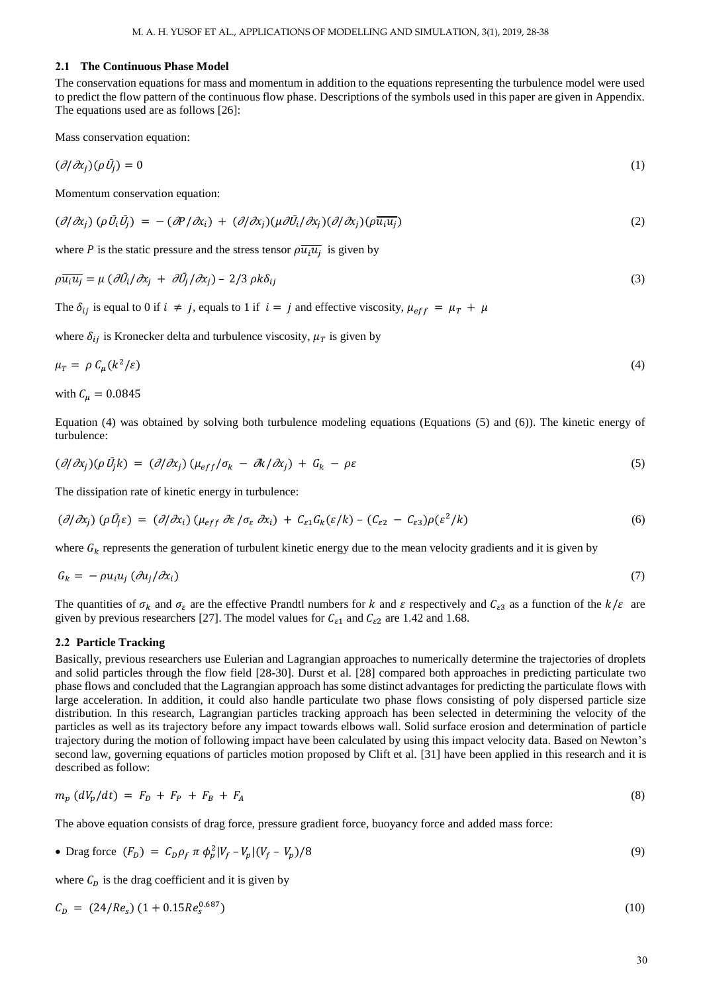## **2.1 The Continuous Phase Model**

The conservation equations for mass and momentum in addition to the equations representing the turbulence model were used to predict the flow pattern of the continuous flow phase. Descriptions of the symbols used in this paper are given in Appendix. The equations used are as follows [26]:

Mass conservation equation:

$$
(\partial/\partial x_j)(\rho \bar{U}_j) = 0 \tag{1}
$$

Momentum conservation equation:

$$
(\partial/\partial x_j)(\rho \bar{U}_i \bar{U}_j) = -(\partial P/\partial x_i) + (\partial/\partial x_j)(\mu \partial \bar{U}_i/\partial x_j)(\partial/\partial x_j)(\rho \bar{u}_i \bar{u}_j)
$$
(2)

where *P* is the static pressure and the stress tensor  $\rho \overline{u_i u_j}$  is given by

$$
\rho \overline{u_i u_j} = \mu \left( \frac{\partial \bar{U}_i}{\partial x_j} + \frac{\partial \bar{U}_j}{\partial x_j} \right) - \frac{2}{3} \rho k \delta_{ij} \tag{3}
$$

The  $\delta_{ij}$  is equal to 0 if  $i \neq j$ , equals to 1 if  $i = j$  and effective viscosity,  $\mu_{eff} = \mu_T + \mu_T$ 

where  $\delta_{ij}$  is Kronecker delta and turbulence viscosity,  $\mu_T$  is given by

$$
\mu_T = \rho \, C_\mu (k^2/\varepsilon) \tag{4}
$$

with  $C_u = 0.0845$ 

Equation (4) was obtained by solving both turbulence modeling equations (Equations (5) and (6)). The kinetic energy of turbulence:

$$
(\partial/\partial x_j)(\rho \bar{U}_j k) = (\partial/\partial x_j)(\mu_{eff}/\sigma_k - \partial k/\partial x_j) + G_k - \rho \varepsilon
$$
\n(5)

The dissipation rate of kinetic energy in turbulence:

$$
(\partial/\partial x_j)(\rho \bar{U_j}\varepsilon) = (\partial/\partial x_i)(\mu_{eff} \partial \varepsilon / \sigma_{\varepsilon} \partial x_i) + C_{\varepsilon 1} G_k(\varepsilon / k) - (C_{\varepsilon 2} - C_{\varepsilon 3})\rho(\varepsilon^2 / k)
$$
\n(6)

where  $G_k$  represents the generation of turbulent kinetic energy due to the mean velocity gradients and it is given by

$$
G_k = -\rho u_i u_j \left(\frac{\partial u_j}{\partial x_i}\right) \tag{7}
$$

The quantities of  $\sigma_k$  and  $\sigma_{\varepsilon}$  are the effective Prandtl numbers for k and  $\varepsilon$  respectively and  $C_{\varepsilon}$  as a function of the  $k/\varepsilon$  are given by previous researchers [27]. The model values for  $C_{\varepsilon_1}$  and  $C_{\varepsilon_2}$  are 1.42 and 1.68.

## **2.2 Particle Tracking**

Basically, previous researchers use Eulerian and Lagrangian approaches to numerically determine the trajectories of droplets and solid particles through the flow field [28-30]. Durst et al. [28] compared both approaches in predicting particulate two phase flows and concluded that the Lagrangian approach has some distinct advantages for predicting the particulate flows with large acceleration. In addition, it could also handle particulate two phase flows consisting of poly dispersed particle size distribution. In this research, Lagrangian particles tracking approach has been selected in determining the velocity of the particles as well as its trajectory before any impact towards elbows wall. Solid surface erosion and determination of particle trajectory during the motion of following impact have been calculated by using this impact velocity data. Based on Newton's second law, governing equations of particles motion proposed by Clift et al. [31] have been applied in this research and it is described as follow:

$$
m_p (dV_p/dt) = F_p + F_p + F_A \tag{8}
$$

The above equation consists of drag force, pressure gradient force, buoyancy force and added mass force:

• Drag force 
$$
(F_D) = C_D \rho_f \pi \phi_p^2 |V_f - V_p| (V_f - V_p) / 8
$$
 (9)

where  $C_D$  is the drag coefficient and it is given by

$$
C_D = (24/Re_s) (1 + 0.15 Re_s^{0.687})
$$
\n(10)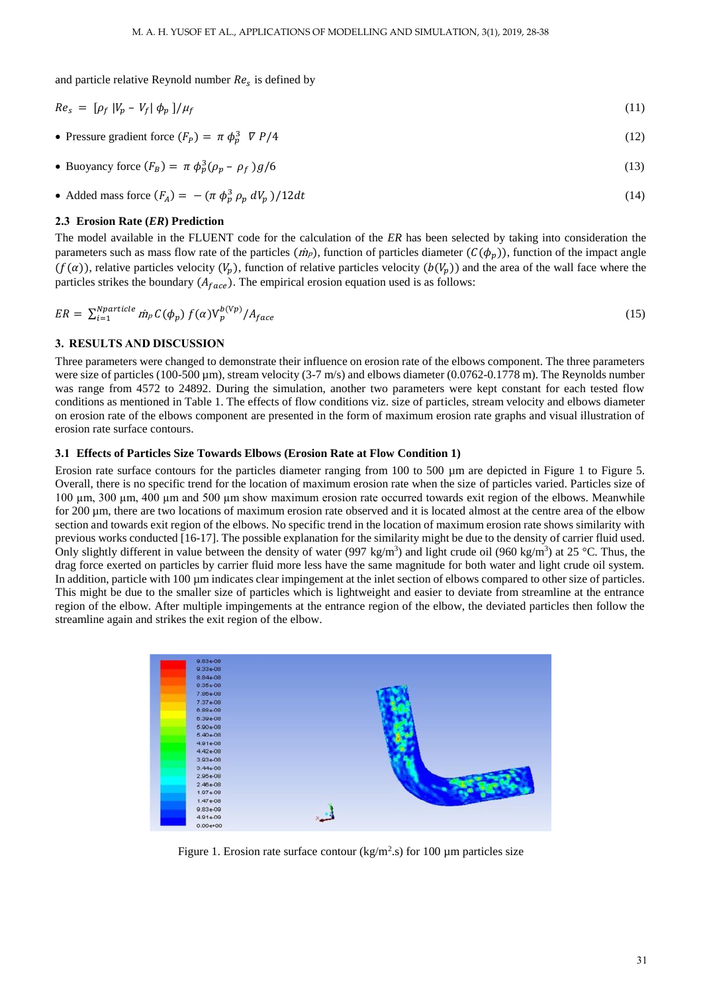and particle relative Reynold number  $Re<sub>s</sub>$  is defined by

$$
Re_s = \left[\rho_f \left|V_p - V_f\right| \phi_p\right]/\mu_f \tag{11}
$$

• Pressure gradient force  $(F_p) = \pi \phi_p^3 \nabla P/4$  (12)

• Buoyancy force 
$$
(F_B) = \pi \phi_p^3 (\rho_p - \rho_f) g/6
$$
 (13)

• Added mass force 
$$
(F_A) = -(\pi \phi_p^3 \rho_p dV_p)/12dt
$$
 (14)

## **2.3 Erosion Rate (***ER***) Prediction**

The model available in the FLUENT code for the calculation of the *ER* has been selected by taking into consideration the parameters such as mass flow rate of the particles ( $\dot{m}_p$ ), function of particles diameter ( $C(\phi_p)$ ), function of the impact angle  $(f(\alpha))$ , relative particles velocity  $(V_p)$ , function of relative particles velocity  $(b(V_p))$  and the area of the wall face where the particles strikes the boundary  $(A_{face})$ . The empirical erosion equation used is as follows:

$$
ER = \sum_{i=1}^{Nparticle} \dot{m}_p C(\phi_p) f(\alpha) V_p^{b(Vp)} / A_{face}
$$
\n(15)

## **3. RESULTS AND DISCUSSION**

Three parameters were changed to demonstrate their influence on erosion rate of the elbows component. The three parameters were size of particles (100-500 µm), stream velocity (3-7 m/s) and elbows diameter (0.0762-0.1778 m). The Reynolds number was range from 4572 to 24892. During the simulation, another two parameters were kept constant for each tested flow conditions as mentioned in Table 1. The effects of flow conditions viz. size of particles, stream velocity and elbows diameter on erosion rate of the elbows component are presented in the form of maximum erosion rate graphs and visual illustration of erosion rate surface contours.

#### **3.1 Effects of Particles Size Towards Elbows (Erosion Rate at Flow Condition 1)**

Erosion rate surface contours for the particles diameter ranging from 100 to 500  $\mu$ m are depicted in Figure 1 to Figure 5. Overall, there is no specific trend for the location of maximum erosion rate when the size of particles varied. Particles size of 100 µm, 300 µm, 400 µm and 500 µm show maximum erosion rate occurred towards exit region of the elbows. Meanwhile for 200 µm, there are two locations of maximum erosion rate observed and it is located almost at the centre area of the elbow section and towards exit region of the elbows. No specific trend in the location of maximum erosion rate shows similarity with previous works conducted [16-17]. The possible explanation for the similarity might be due to the density of carrier fluid used. Only slightly different in value between the density of water  $(997 \text{ kg/m}^3)$  and light crude oil  $(960 \text{ kg/m}^3)$  at 25 °C. Thus, the drag force exerted on particles by carrier fluid more less have the same magnitude for both water and light crude oil system. In addition, particle with 100 µm indicates clear impingement at the inlet section of elbows compared to other size of particles. This might be due to the smaller size of particles which is lightweight and easier to deviate from streamline at the entrance region of the elbow. After multiple impingements at the entrance region of the elbow, the deviated particles then follow the streamline again and strikes the exit region of the elbow.



Figure 1. Erosion rate surface contour ( $\text{kg/m}^2$ .s) for 100 µm particles size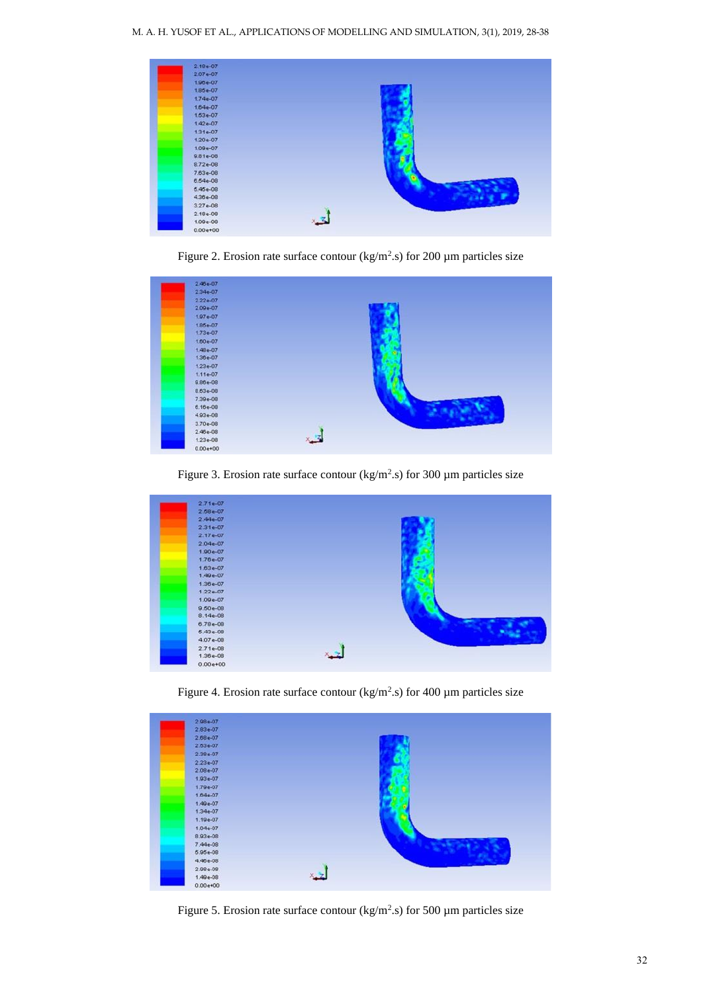| $2.18 + 07$       |  |
|-------------------|--|
| $2.07e-07$        |  |
| $1.96 + 07$       |  |
| 1.85e-07          |  |
| $1.74 - 07$       |  |
| 1.64e-07          |  |
| $1.53 - 07$       |  |
| $1.42e-07$        |  |
| $1.31e-07$        |  |
| $1.20 - 07$       |  |
| $1.09 - 07$       |  |
| 9.81e-08          |  |
| $8.72 - 08$       |  |
| 7.63e-08          |  |
| 6.54e-08          |  |
| $5.45e-08$        |  |
| 4.36e-08          |  |
| 3.27e-08          |  |
| $2.18 - 08$       |  |
| ٠<br>$1.09e - 08$ |  |
| $0.00+00$         |  |

Figure 2. Erosion rate surface contour ( $\text{kg/m}^2$ .s) for 200 µm particles size



Figure 3. Erosion rate surface contour ( $\text{kg/m}^2$ .s) for 300 µm particles size



Figure 4. Erosion rate surface contour ( $\text{kg/m}^2$ .s) for 400 µm particles size

| $2.98 - 07$  |  |
|--------------|--|
| $2.83e-07$   |  |
| $2.68 - 07$  |  |
| $2.63e-07$   |  |
| 2.38e-07     |  |
| $2.23 - 07$  |  |
| $2.08e-07$   |  |
| $1.93 - 07$  |  |
| 1.79e-07     |  |
| $1.64e-07$   |  |
| $1.49 - 07$  |  |
| $1.34e-07$   |  |
| $1.10e-07$   |  |
| 1.04e-07     |  |
| $8.93 - 08$  |  |
| 7.44e-08     |  |
| 5.95e-08     |  |
| 4.46e-08     |  |
| 2.98e-08     |  |
| $1.49e-08$   |  |
| $0.00e{+00}$ |  |

Figure 5. Erosion rate surface contour ( $\text{kg/m}^2$ .s) for 500 µm particles size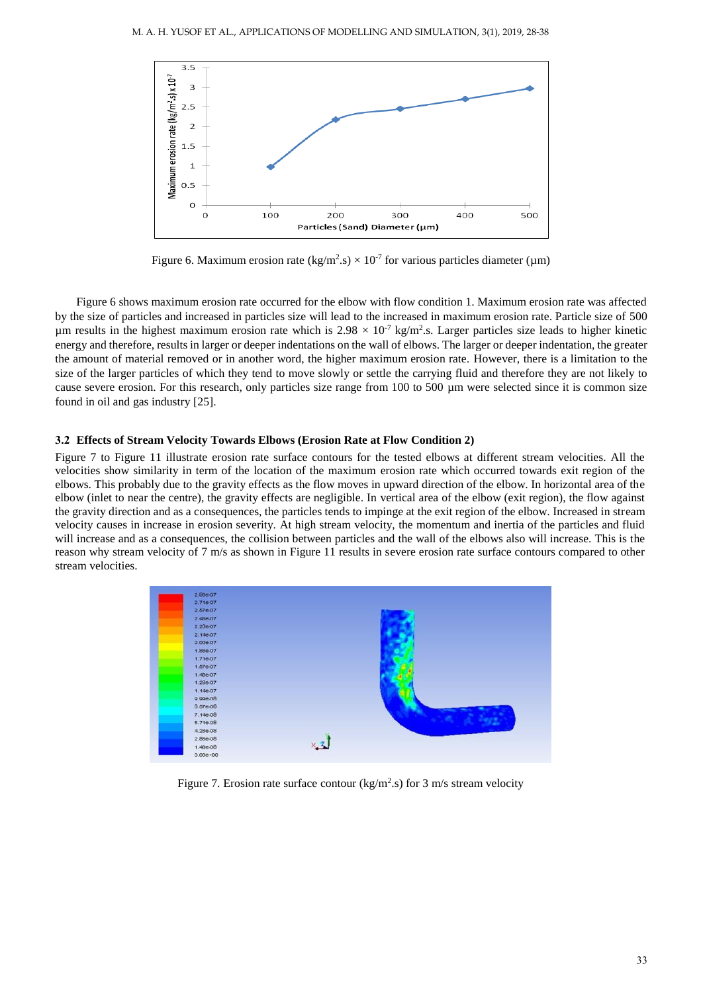

Figure 6. Maximum erosion rate (kg/m<sup>2</sup>.s)  $\times$  10<sup>-7</sup> for various particles diameter (µm)

Figure 6 shows maximum erosion rate occurred for the elbow with flow condition 1. Maximum erosion rate was affected by the size of particles and increased in particles size will lead to the increased in maximum erosion rate. Particle size of 500 µm results in the highest maximum erosion rate which is  $2.98 \times 10^{-7}$  kg/m<sup>2</sup>.s. Larger particles size leads to higher kinetic energy and therefore, results in larger or deeper indentations on the wall of elbows. The larger or deeper indentation, the greater the amount of material removed or in another word, the higher maximum erosion rate. However, there is a limitation to the size of the larger particles of which they tend to move slowly or settle the carrying fluid and therefore they are not likely to cause severe erosion. For this research, only particles size range from 100 to 500 µm were selected since it is common size found in oil and gas industry [25].

## **3.2 Effects of Stream Velocity Towards Elbows (Erosion Rate at Flow Condition 2)**

Figure 7 to Figure 11 illustrate erosion rate surface contours for the tested elbows at different stream velocities. All the velocities show similarity in term of the location of the maximum erosion rate which occurred towards exit region of the elbows. This probably due to the gravity effects as the flow moves in upward direction of the elbow. In horizontal area of the elbow (inlet to near the centre), the gravity effects are negligible. In vertical area of the elbow (exit region), the flow against the gravity direction and as a consequences, the particles tends to impinge at the exit region of the elbow. Increased in stream velocity causes in increase in erosion severity. At high stream velocity, the momentum and inertia of the particles and fluid will increase and as a consequences, the collision between particles and the wall of the elbows also will increase. This is the reason why stream velocity of 7 m/s as shown in Figure 11 results in severe erosion rate surface contours compared to other stream velocities.



Figure 7. Erosion rate surface contour ( $kg/m<sup>2</sup>$ .s) for 3 m/s stream velocity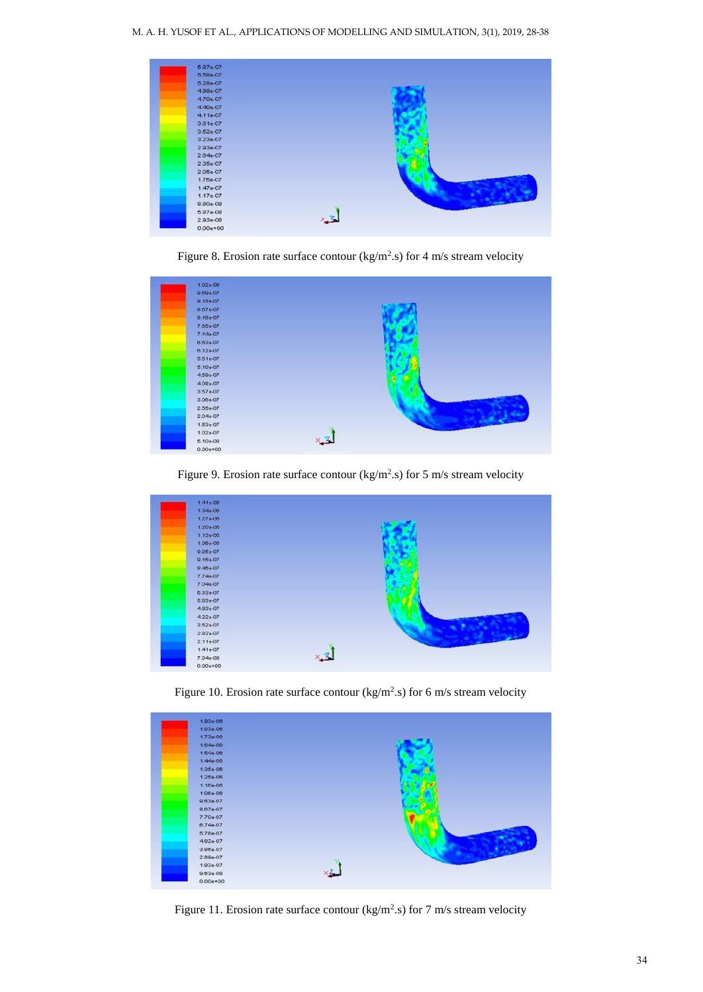| $5.87 - 07$     |  |
|-----------------|--|
| 5.58e-07        |  |
| 5.28e-07        |  |
| 4.99e-07        |  |
| 4.70e-07        |  |
| 4.40e-07        |  |
| $4.11e-07$      |  |
| 3.81e-07        |  |
| 3.52e-07        |  |
| 3.23e-07        |  |
| 2.93e-07        |  |
| $2.64e-07$      |  |
| 2.35e-07        |  |
| $2.05e-07$      |  |
| 1.76e-07        |  |
| $1.47e-07$      |  |
| $1.17e-07$      |  |
| 8.80e-08        |  |
| 5.87e-08        |  |
| ٠<br>$2.93e-08$ |  |
| $0.00e + 00$    |  |

Figure 8. Erosion rate surface contour ( $kg/m<sup>2</sup>$ .s) for 4 m/s stream velocity

| $1.02 - 06$           |        |
|-----------------------|--------|
| 9.69e-07              |        |
| 9.18e-07              |        |
| $8.67 - 07$           |        |
| 8.16e-07              |        |
| 7.65e-07              |        |
| $7.14e-07$            |        |
| 6.63e-07              |        |
| $6.12 - 07$           |        |
| 5.61e-07              |        |
| $5.10 - 07$           |        |
| 4.59e-07              |        |
| 4.08e-07              | ۰<br>٠ |
| $3.67e-07$<br>a sa na |        |
| $3.06e-07$            |        |
| $2.65e-07$            |        |
| 2.04e-07              |        |
| $1.63e-07$            |        |
| $1.02e-07$            |        |
| 5.10e-08              |        |
| $0.00e+00$            |        |

Figure 9. Erosion rate surface contour ( $kg/m<sup>2</sup>$ .s) for 5 m/s stream velocity



Figure 10. Erosion rate surface contour ( $kg/m<sup>2</sup>$ .s) for 6 m/s stream velocity

| $1.93 + 06$        |  |
|--------------------|--|
| $1.83 - 06$        |  |
| $1.73e-06$         |  |
| $1.64e-06$         |  |
| 1.54e-06           |  |
| $1.44e-06$         |  |
| $1.35 - 06$        |  |
| $1.25e-06$         |  |
| $1.16e-06$         |  |
| 1.06e-06           |  |
| $9.63e-07$         |  |
| 8.67e-07           |  |
| $7.70 - 07$<br>e e |  |
| 6.74e-07           |  |
| $5.78 - 07$        |  |
| 4.82e-07           |  |
| 3.85e-07           |  |
| 2.89e-07           |  |
| 1.93e-07           |  |
| 9.63e-08           |  |
| $0.00e+00$         |  |

Figure 11. Erosion rate surface contour ( $kg/m<sup>2</sup>$ .s) for 7 m/s stream velocity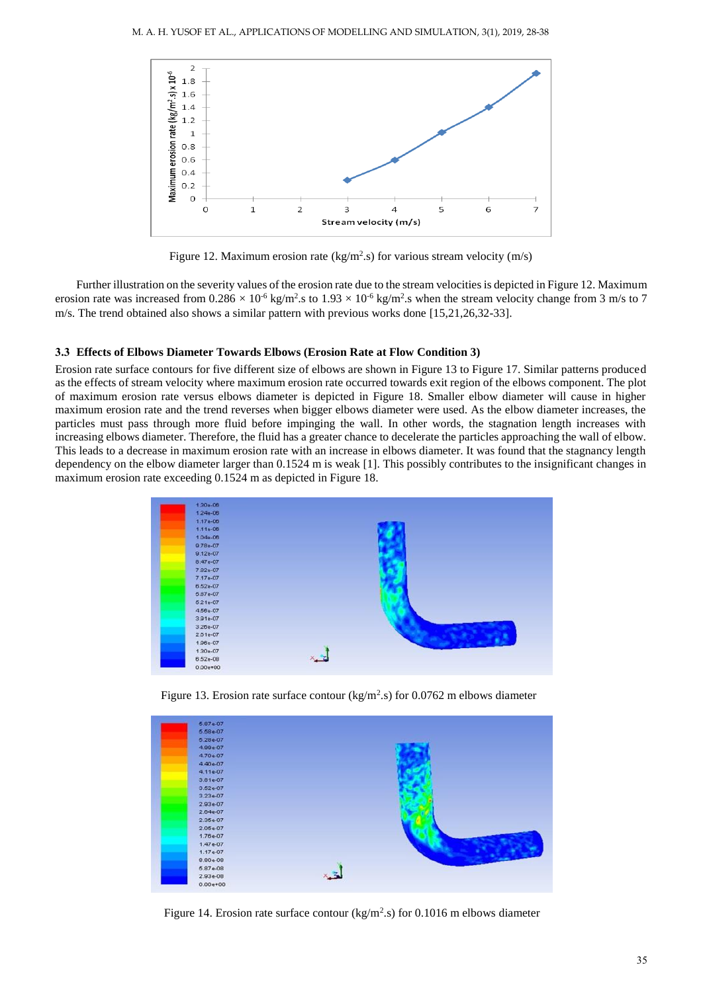

Figure 12. Maximum erosion rate (kg/m<sup>2</sup>.s) for various stream velocity (m/s)

Further illustration on the severity values of the erosion rate due to the stream velocities is depicted in Figure 12. Maximum erosion rate was increased from  $0.286 \times 10^{-6}$  kg/m<sup>2</sup>.s to  $1.93 \times 10^{-6}$  kg/m<sup>2</sup>.s when the stream velocity change from 3 m/s to 7 m/s. The trend obtained also shows a similar pattern with previous works done [15,21,26,32-33].

#### **3.3 Effects of Elbows Diameter Towards Elbows (Erosion Rate at Flow Condition 3)**

Erosion rate surface contours for five different size of elbows are shown in Figure 13 to Figure 17. Similar patterns produced as the effects of stream velocity where maximum erosion rate occurred towards exit region of the elbows component. The plot of maximum erosion rate versus elbows diameter is depicted in Figure 18. Smaller elbow diameter will cause in higher maximum erosion rate and the trend reverses when bigger elbows diameter were used. As the elbow diameter increases, the particles must pass through more fluid before impinging the wall. In other words, the stagnation length increases with increasing elbows diameter. Therefore, the fluid has a greater chance to decelerate the particles approaching the wall of elbow. This leads to a decrease in maximum erosion rate with an increase in elbows diameter. It was found that the stagnancy length dependency on the elbow diameter larger than 0.1524 m is weak [1]. This possibly contributes to the insignificant changes in maximum erosion rate exceeding 0.1524 m as depicted in Figure 18.



Figure 13. Erosion rate surface contour ( $\text{kg/m}^2$ .s) for 0.0762 m elbows diameter

| 5.87e-07    |  |  |
|-------------|--|--|
| 5.58e-07    |  |  |
| $5.28e-07$  |  |  |
| $4.99 + 07$ |  |  |
| 4.70e-07    |  |  |
| 4.40e-07    |  |  |
| 4.11e-07    |  |  |
| 3.81e-07    |  |  |
| $3.52e-07$  |  |  |
| $3.23e-07$  |  |  |
| 2.93e-07    |  |  |
| $2.64e-07$  |  |  |
| $2.35e-07$  |  |  |
| 2.05e-07    |  |  |
| 1.76e-07    |  |  |
| $1.47e-07$  |  |  |
| $1.17e-07$  |  |  |
| 8.80e-08    |  |  |
| $5.87 - 08$ |  |  |
| 2.93e-08    |  |  |
| $0.00e+00$  |  |  |

Figure 14. Erosion rate surface contour ( $kg/m<sup>2</sup>$ .s) for 0.1016 m elbows diameter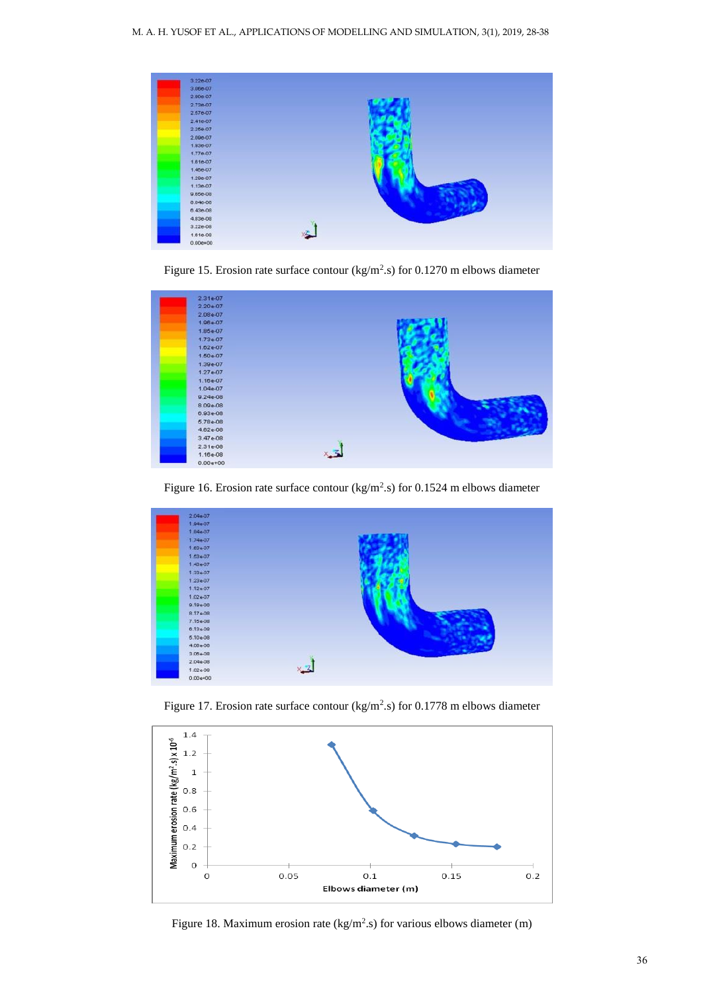| $3.22e-07$          |  |
|---------------------|--|
| $3.06e - 07$        |  |
| $2.90e-07$          |  |
| $2.73e-07$          |  |
| $2.576 - 07$        |  |
| 2.416-07            |  |
| $2.266 - 07$        |  |
| 2.09e-07            |  |
| 1.936-07            |  |
| 1.77e-07            |  |
| 1.61e-07            |  |
| 1.46e-07            |  |
| 1.29e-07            |  |
| 1.13e-07<br>a sa na |  |
| 9.66e-08            |  |
| 8.046-08            |  |
| 6.43e-08            |  |
| 4.83e-08            |  |
| $3.228 - 08$        |  |
| 1.61e-08            |  |
| $0.00e + 00$        |  |

Figure 15. Erosion rate surface contour ( $kg/m<sup>2</sup>$ .s) for 0.1270 m elbows diameter



Figure 16. Erosion rate surface contour ( $kg/m<sup>2</sup>$ .s) for 0.1524 m elbows diameter



Figure 17. Erosion rate surface contour ( $kg/m<sup>2</sup>$ .s) for 0.1778 m elbows diameter



Figure 18. Maximum erosion rate (kg/m<sup>2</sup>.s) for various elbows diameter (m)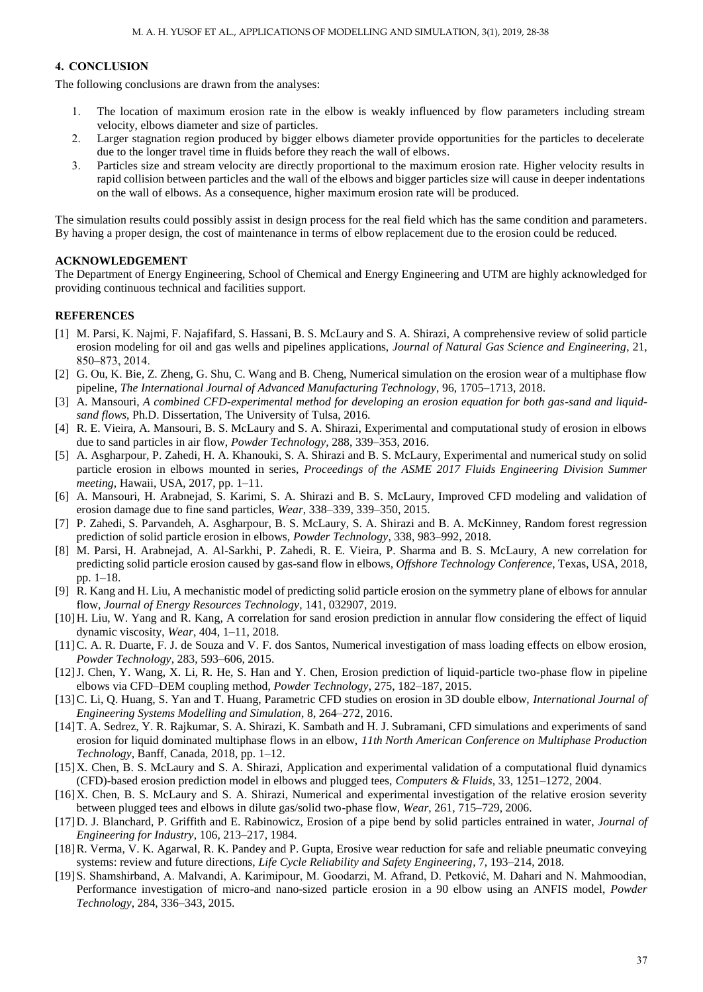## **4. CONCLUSION**

The following conclusions are drawn from the analyses:

- 1. The location of maximum erosion rate in the elbow is weakly influenced by flow parameters including stream velocity, elbows diameter and size of particles.
- 2. Larger stagnation region produced by bigger elbows diameter provide opportunities for the particles to decelerate due to the longer travel time in fluids before they reach the wall of elbows.
- 3. Particles size and stream velocity are directly proportional to the maximum erosion rate. Higher velocity results in rapid collision between particles and the wall of the elbows and bigger particles size will cause in deeper indentations on the wall of elbows. As a consequence, higher maximum erosion rate will be produced.

The simulation results could possibly assist in design process for the real field which has the same condition and parameters. By having a proper design, the cost of maintenance in terms of elbow replacement due to the erosion could be reduced.

## **ACKNOWLEDGEMENT**

The Department of Energy Engineering, School of Chemical and Energy Engineering and UTM are highly acknowledged for providing continuous technical and facilities support.

#### **REFERENCES**

- [1] M. Parsi, K. Najmi, F. Najafifard, S. Hassani, B. S. McLaury and S. A. Shirazi, A comprehensive review of solid particle erosion modeling for oil and gas wells and pipelines applications, *Journal of Natural Gas Science and Engineering*, 21, 850–873, 2014.
- [2] G. Ou, K. Bie, Z. Zheng, G. Shu, C. Wang and B. Cheng, Numerical simulation on the erosion wear of a multiphase flow pipeline, *The International Journal of Advanced Manufacturing Technology*, 96, 1705–1713, 2018.
- [3] A. Mansouri, *A combined CFD-experimental method for developing an erosion equation for both gas-sand and liquidsand flows*, Ph.D. Dissertation, The University of Tulsa, 2016.
- [4] R. E. Vieira, A. Mansouri, B. S. McLaury and S. A. Shirazi, Experimental and computational study of erosion in elbows due to sand particles in air flow, *Powder Technology*, 288, 339–353, 2016.
- [5] A. Asgharpour, P. Zahedi, H. A. Khanouki, S. A. Shirazi and B. S. McLaury, Experimental and numerical study on solid particle erosion in elbows mounted in series, *Proceedings of the ASME 2017 Fluids Engineering Division Summer meeting*, Hawaii, USA, 2017, pp. 1–11.
- [6] A. Mansouri, H. Arabnejad, S. Karimi, S. A. Shirazi and B. S. McLaury, Improved CFD modeling and validation of erosion damage due to fine sand particles, *Wear*, 338–339, 339–350, 2015.
- [7] P. Zahedi, S. Parvandeh, A. Asgharpour, B. S. McLaury, S. A. Shirazi and B. A. McKinney, Random forest regression prediction of solid particle erosion in elbows, *Powder Technology*, 338, 983–992, 2018.
- [8] M. Parsi, H. Arabnejad, A. Al-Sarkhi, P. Zahedi, R. E. Vieira, P. Sharma and B. S. McLaury, A new correlation for predicting solid particle erosion caused by gas-sand flow in elbows, *Offshore Technology Conference*, Texas, USA, 2018, pp. 1–18.
- [9] R. Kang and H. Liu, A mechanistic model of predicting solid particle erosion on the symmetry plane of elbows for annular flow, *Journal of Energy Resources Technology*, 141, 032907, 2019.
- [10]H. Liu, W. Yang and R. Kang, A correlation for sand erosion prediction in annular flow considering the effect of liquid dynamic viscosity, *Wear*, 404, 1–11, 2018.
- [11]C. A. R. Duarte, F. J. de Souza and V. F. dos Santos, Numerical investigation of mass loading effects on elbow erosion, *Powder Technology*, 283, 593–606, 2015.
- [12]J. Chen, Y. Wang, X. Li, R. He, S. Han and Y. Chen, Erosion prediction of liquid-particle two-phase flow in pipeline elbows via CFD–DEM coupling method, *Powder Technology*, 275, 182–187, 2015.
- [13]C. Li, Q. Huang, S. Yan and T. Huang, Parametric CFD studies on erosion in 3D double elbow, *International Journal of Engineering Systems Modelling and Simulation*, 8, 264–272, 2016.
- [14]T. A. Sedrez, Y. R. Rajkumar, S. A. Shirazi, K. Sambath and H. J. Subramani, CFD simulations and experiments of sand erosion for liquid dominated multiphase flows in an elbow, *11th North American Conference on Multiphase Production Technology*, Banff, Canada, 2018, pp. 1–12.
- [15]X. Chen, B. S. McLaury and S. A. Shirazi, Application and experimental validation of a computational fluid dynamics (CFD)-based erosion prediction model in elbows and plugged tees, *Computers & Fluids*, 33, 1251–1272, 2004.
- [16]X. Chen, B. S. McLaury and S. A. Shirazi, Numerical and experimental investigation of the relative erosion severity between plugged tees and elbows in dilute gas/solid two-phase flow, *Wear*, 261, 715–729, 2006.
- [17]D. J. Blanchard, P. Griffith and E. Rabinowicz, Erosion of a pipe bend by solid particles entrained in water, *Journal of Engineering for Industry*, 106, 213–217, 1984.
- [18]R. Verma, V. K. Agarwal, R. K. Pandey and P. Gupta, Erosive wear reduction for safe and reliable pneumatic conveying systems: review and future directions, *Life Cycle Reliability and Safety Engineering*, 7, 193–214, 2018.
- [19]S. Shamshirband, A. Malvandi, A. Karimipour, M. Goodarzi, M. Afrand, D. Petković, M. Dahari and N. Mahmoodian, Performance investigation of micro-and nano-sized particle erosion in a 90 elbow using an ANFIS model, *Powder Technology*, 284, 336–343, 2015.